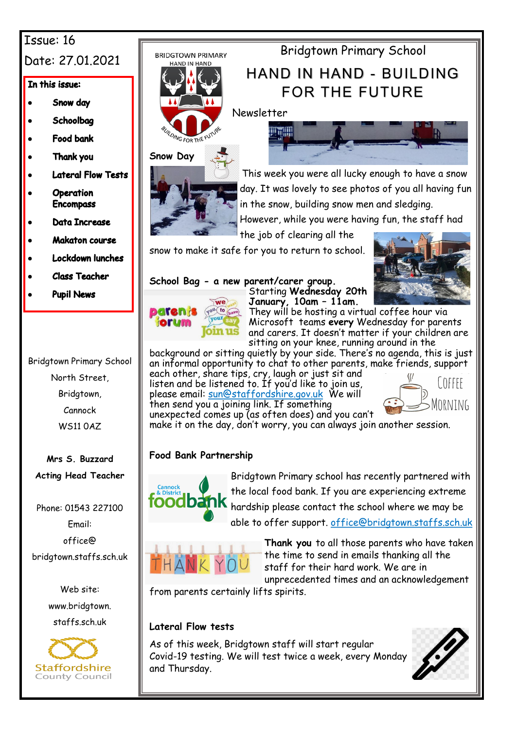# Issue: 16

# Date: 27.01.2021

### In this issue:

- Snow day
- Schoolbag
- **Food bank**
- Thank you
- **Lateral Flow Tests**
- **Operation Encompass**
- **Data Increase**
- **Makaton course**
- **Lockdown lunches**
- **Class Teacher**
- **Pupil News**



**Mrs S. Buzzard Acting Head Teacher**

Phone: 01543 227100 Email: office@ bridgtown.staffs.sch.uk

> Web site: www.bridgtown. staffs.sch.uk







FOR THE FUTURE Newsletter

Bridgtown Primary School



This week you were all lucky enough to have a snow day. It was lovely to see photos of you all having fun in the snow, building snow men and sledging.

However, while you were having fun, the staff had

the job of clearing all the

snow to make it safe for you to return to school.

## **School Bag - a new parent/carer group.**



Starting **Wednesday 20th January, 10am – 11am.** 



They will be hosting a virtual coffee hour via Microsoft teams **every** Wednesday for parents and carers. It doesn't matter if your children are sitting on your knee, running around in the

background or sitting quietly by your side. There's no agenda, this is just an informal opportunity to chat to other parents, make friends, support each other, share tips, cry, laugh or just sit and listen and be listened to. If you'd like to join us, please email: <u>sun@staffordshire.gov.uk</u> We will then send you a joining link. If something



unexpected comes up (as often does) and you can't make it on the day, don't worry, you can always join another session.

## **Food Bank Partnership**



Bridgtown Primary school has recently partnered with the local food bank. If you are experiencing extreme hardship please contact the school where we may be able to offer support. office@bridgtown.staffs.sch.uk



**Thank you** to all those parents who have taken the time to send in emails thanking all the staff for their hard work. We are in unprecedented times and an acknowledgement

from parents certainly lifts spirits.

## **Lateral Flow tests**

As of this week, Bridgtown staff will start regular Covid-19 testing. We will test twice a week, every Monday and Thursday.

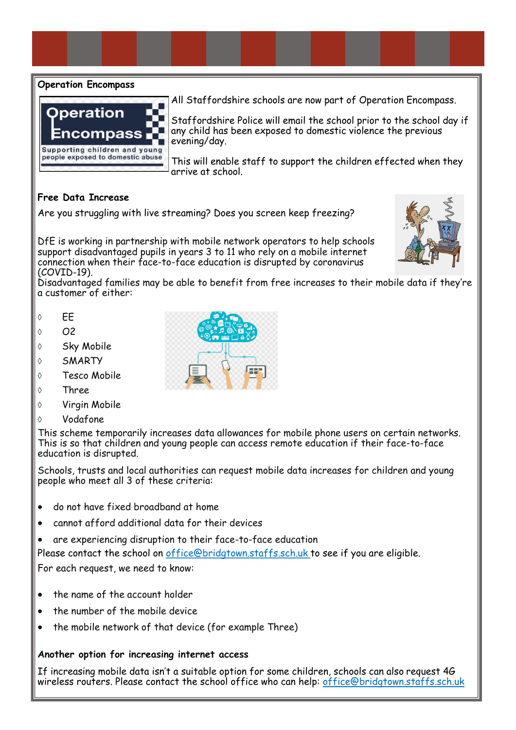#### **Operation Encompass**



All Staffordshire schools are now part of Operation Encompass.

Staffordshire Police will email the school prior to the school day if any child has been exposed to domestic violence the previous evening/day.

This will enable staff to support the children effected when they arrive at school.

#### **Free Data Increase**

Are you struggling with live streaming? Does you screen keep freezing?

DfE is working in partnership with mobile network operators to help schools support disadvantaged pupils in years 3 to 11 who rely on a mobile internet connection when their face-to-face education is disrupted by coronavirus (COVID-19).



Disadvantaged families may be able to benefit from free increases to their mobile data if they're a customer of either:

- $\circ$  EE
- $\circ$   $\Omega$
- ♦ Sky Mobile
- SMARTY
- Tesco Mobile
- $\lozenge$  Three
- $\Diamond$  Virgin Mobile
- Vodafone

This scheme temporarily increases data allowances for mobile phone users on certain networks. This is so that children and young people can access remote education if their face-to-face education is disrupted.

Schools, trusts and local authorities can request mobile data increases for children and young people who meet all 3 of these criteria:

- do not have fixed broadband at home
- cannot afford additional data for their devices
- are experiencing disruption to their face-to-face education

Please contact the school on office@bridgtown.staffs.sch.uk to see if you are eligible.

For each request, we need to know:

- the name of the account holder
- the number of the mobile device
- the mobile network of that device (for example Three)

#### **Another option for increasing internet access**

If increasing mobile data isn't a suitable option for some children, schools can also [request 4G](https://get-help-with-tech.education.gov.uk/how-to-request-4g-wireless-routers)  [wireless routers.](https://get-help-with-tech.education.gov.uk/how-to-request-4g-wireless-routers) Please contact the school office who can help: office@bridgtown.staffs.sch.uk